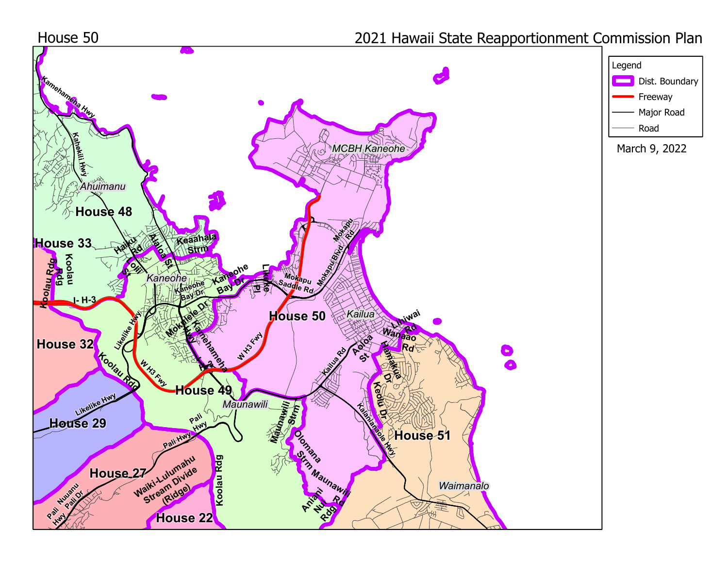